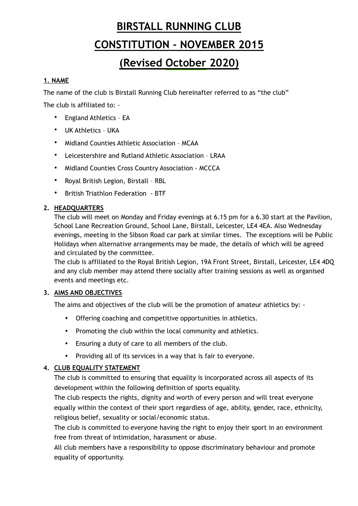# **BIRSTALL RUNNING CLUB CONSTITUTION - NOVEMBER 2015**

## **(Revised October 2020)**

## **1. NAME**

The name of the club is Birstall Running Club hereinafter referred to as "the club"

The club is affiliated to: -

- England Athletics EA
- UK Athletics UKA
- Midland Counties Athletic Association MCAA
- Leicestershire and Rutland Athletic Association LRAA
- Midland Counties Cross Country Association MCCCA
- Royal British Legion, Birstall RBL
- British Triathlon Federation BTF

## **2. HEADQUARTERS**

The club will meet on Monday and Friday evenings at 6.15 pm for a 6.30 start at the Pavilion, School Lane Recreation Ground, School Lane, Birstall, Leicester, LE4 4EA. Also Wednesday evenings, meeting in the Sibson Road car park at similar times. The exceptions will be Public Holidays when alternative arrangements may be made, the details of which will be agreed and circulated by the committee.

The club is affiliated to the Royal British Legion, 19A Front Street, Birstall, Leicester, LE4 4DQ and any club member may attend there socially after training sessions as well as organised events and meetings etc.

## **3. AIMS AND OBJECTIVES**

The aims and objectives of the club will be the promotion of amateur athletics by: -

- Offering coaching and competitive opportunities in athletics.
- Promoting the club within the local community and athletics.
- Ensuring a duty of care to all members of the club.
- Providing all of its services in a way that is fair to everyone.

## **4. CLUB EQUALITY STATEMENT**

The club is committed to ensuring that equality is incorporated across all aspects of its development within the following definition of sports equality.

The club respects the rights, dignity and worth of every person and will treat everyone equally within the context of their sport regardless of age, ability, gender, race, ethnicity, religious belief, sexuality or social/economic status.

The club is committed to everyone having the right to enjoy their sport in an environment free from threat of intimidation, harassment or abuse.

All club members have a responsibility to oppose discriminatory behaviour and promote equality of opportunity.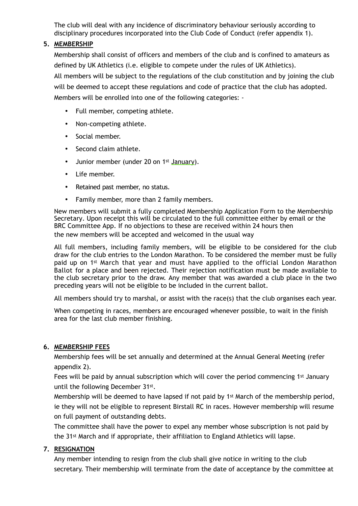The club will deal with any incidence of discriminatory behaviour seriously according to disciplinary procedures incorporated into the Club Code of Conduct (refer appendix 1).

## **5. MEMBERSHIP**

Membership shall consist of officers and members of the club and is confined to amateurs as defined by UK Athletics (i.e. eligible to compete under the rules of UK Athletics). All members will be subject to the regulations of the club constitution and by joining the club will be deemed to accept these regulations and code of practice that the club has adopted. Members will be enrolled into one of the following categories: -

- Full member, competing athlete.
- Non-competing athlete.
- Social member.
- Second claim athlete.
- Junior member (under 20 on 1st January).
- Life member.
- Retained past member, no status.
- Family member, more than 2 family members.

New members will submit a fully completed Membership Application Form to the Membership Secretary. Upon receipt this will be circulated to the full committee either by email or the BRC Committee App. If no objections to these are received within 24 hours then the new members will be accepted and welcomed in the usual way

All full members, including family members, will be eligible to be considered for the club draw for the club entries to the London Marathon. To be considered the member must be fully paid up on 1st March that year and must have applied to the official London Marathon Ballot for a place and been rejected. Their rejection notification must be made available to the club secretary prior to the draw. Any member that was awarded a club place in the two preceding years will not be eligible to be included in the current ballot.

All members should try to marshal, or assist with the race(s) that the club organises each year.

When competing in races, members are encouraged whenever possible, to wait in the finish area for the last club member finishing.

## **6. MEMBERSHIP FEES**

Membership fees will be set annually and determined at the Annual General Meeting (refer appendix 2).

Fees will be paid by annual subscription which will cover the period commencing 1st January until the following December 31st.

Membership will be deemed to have lapsed if not paid by 1st March of the membership period, ie they will not be eligible to represent Birstall RC in races. However membership will resume on full payment of outstanding debts.

The committee shall have the power to expel any member whose subscription is not paid by the 31st March and if appropriate, their affiliation to England Athletics will lapse.

## **7. RESIGNATION**

Any member intending to resign from the club shall give notice in writing to the club secretary. Their membership will terminate from the date of acceptance by the committee at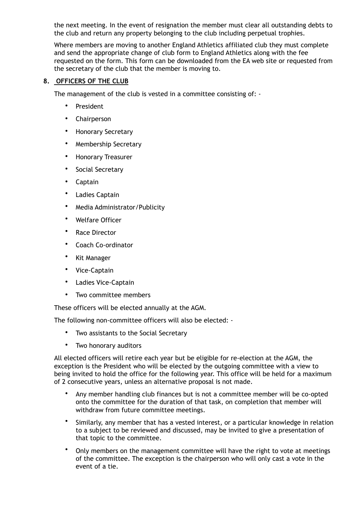the next meeting. In the event of resignation the member must clear all outstanding debts to the club and return any property belonging to the club including perpetual trophies.

Where members are moving to another England Athletics affiliated club they must complete and send the appropriate change of club form to England Athletics along with the fee requested on the form. This form can be downloaded from the EA web site or requested from the secretary of the club that the member is moving to.

## **8. OFFICERS OF THE CLUB**

The management of the club is vested in a committee consisting of: -

- **President**
- Chairperson
- Honorary Secretary
- Membership Secretary
- Honorary Treasurer
- Social Secretary
- Captain
- Ladies Captain
- Media Administrator/Publicity
- Welfare Officer
- Race Director
- Coach Co-ordinator
- Kit Manager
- Vice-Captain
- Ladies Vice-Captain
- Two committee members

These officers will be elected annually at the AGM.

The following non-committee officers will also be elected: -

- Two assistants to the Social Secretary
- Two honorary auditors

All elected officers will retire each year but be eligible for re-election at the AGM, the exception is the President who will be elected by the outgoing committee with a view to being invited to hold the office for the following year. This office will be held for a maximum of 2 consecutive years, unless an alternative proposal is not made.

- Any member handling club finances but is not a committee member will be co-opted onto the committee for the duration of that task, on completion that member will withdraw from future committee meetings.
- Similarly, any member that has a vested interest, or a particular knowledge in relation to a subject to be reviewed and discussed, may be invited to give a presentation of that topic to the committee.
- Only members on the management committee will have the right to vote at meetings of the committee. The exception is the chairperson who will only cast a vote in the event of a tie.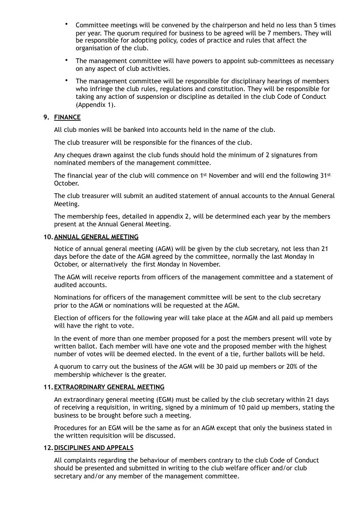- Committee meetings will be convened by the chairperson and held no less than 5 times per year. The quorum required for business to be agreed will be 7 members. They will be responsible for adopting policy, codes of practice and rules that affect the organisation of the club.
- The management committee will have powers to appoint sub-committees as necessary on any aspect of club activities.
- The management committee will be responsible for disciplinary hearings of members who infringe the club rules, regulations and constitution. They will be responsible for taking any action of suspension or discipline as detailed in the club Code of Conduct (Appendix 1).

#### **9. FINANCE**

All club monies will be banked into accounts held in the name of the club.

The club treasurer will be responsible for the finances of the club.

Any cheques drawn against the club funds should hold the minimum of 2 signatures from nominated members of the management committee.

The financial year of the club will commence on 1<sup>st</sup> November and will end the following 31<sup>st</sup> October.

The club treasurer will submit an audited statement of annual accounts to the Annual General Meeting.

The membership fees, detailed in appendix 2, will be determined each year by the members present at the Annual General Meeting.

#### **10.ANNUAL GENERAL MEETING**

Notice of annual general meeting (AGM) will be given by the club secretary, not less than 21 days before the date of the AGM agreed by the committee, normally the last Monday in October, or alternatively the first Monday in November.

The AGM will receive reports from officers of the management committee and a statement of audited accounts.

Nominations for officers of the management committee will be sent to the club secretary prior to the AGM or nominations will be requested at the AGM.

Election of officers for the following year will take place at the AGM and all paid up members will have the right to vote.

In the event of more than one member proposed for a post the members present will vote by written ballot. Each member will have one vote and the proposed member with the highest number of votes will be deemed elected. In the event of a tie, further ballots will be held.

A quorum to carry out the business of the AGM will be 30 paid up members or 20% of the membership whichever is the greater.

### **11.EXTRAORDINARY GENERAL MEETING**

An extraordinary general meeting (EGM) must be called by the club secretary within 21 days of receiving a requisition, in writing, signed by a minimum of 10 paid up members, stating the business to be brought before such a meeting.

Procedures for an EGM will be the same as for an AGM except that only the business stated in the written requisition will be discussed.

#### **12.DISCIPLINES AND APPEALS**

All complaints regarding the behaviour of members contrary to the club Code of Conduct should be presented and submitted in writing to the club welfare officer and/or club secretary and/or any member of the management committee.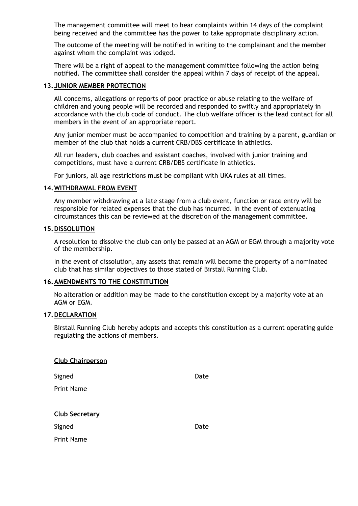The management committee will meet to hear complaints within 14 days of the complaint being received and the committee has the power to take appropriate disciplinary action.

The outcome of the meeting will be notified in writing to the complainant and the member against whom the complaint was lodged.

There will be a right of appeal to the management committee following the action being notified. The committee shall consider the appeal within 7 days of receipt of the appeal.

#### **13.JUNIOR MEMBER PROTECTION**

All concerns, allegations or reports of poor practice or abuse relating to the welfare of children and young people will be recorded and responded to swiftly and appropriately in accordance with the club code of conduct. The club welfare officer is the lead contact for all members in the event of an appropriate report.

Any junior member must be accompanied to competition and training by a parent, guardian or member of the club that holds a current CRB/DBS certificate in athletics.

All run leaders, club coaches and assistant coaches, involved with junior training and competitions, must have a current CRB/DBS certificate in athletics.

For juniors, all age restrictions must be compliant with UKA rules at all times.

#### **14.WITHDRAWAL FROM EVENT**

Any member withdrawing at a late stage from a club event, function or race entry will be responsible for related expenses that the club has incurred. In the event of extenuating circumstances this can be reviewed at the discretion of the management committee.

#### **15.DISSOLUTION**

A resolution to dissolve the club can only be passed at an AGM or EGM through a majority vote of the membership.

In the event of dissolution, any assets that remain will become the property of a nominated club that has similar objectives to those stated of Birstall Running Club.

#### **16.AMENDMENTS TO THE CONSTITUTION**

No alteration or addition may be made to the constitution except by a majority vote at an AGM or EGM.

#### **17.DECLARATION**

**Club Chairperson**

Birstall Running Club hereby adopts and accepts this constitution as a current operating guide regulating the actions of members.

| Signed<br><b>Print Name</b> | Date |
|-----------------------------|------|
| <b>Club Secretary</b>       |      |
| Signed                      | Date |
| <b>Print Name</b>           |      |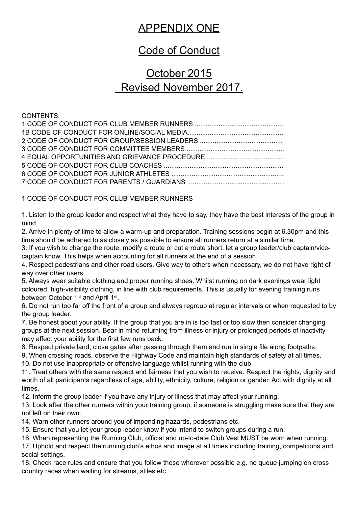## APPENDIX ONE

## Code of Conduct

## October 2015 Revised November 2017.

CONTENTS:

1 CODE OF CONDUCT FOR CLUB MEMBER RUNNERS

1. Listen to the group leader and respect what they have to say, they have the best interests of the group in mind.

2. Arrive in plenty of time to allow a warm-up and preparation. Training sessions begin at 6.30pm and this time should be adhered to as closely as possible to ensure all runners return at a similar time.

3. If you wish to change the route, modify a route or cut a route short, let a group leader/club captain/vicecaptain know. This helps when accounting for all runners at the end of a session.

4. Respect pedestrians and other road users. Give way to others when necessary, we do not have right of way over other users.

5. Always wear suitable clothing and proper running shoes. Whilst running on dark evenings wear light coloured, high-visibility clothing, in line with club requirements. This is usually for evening training runs between October 1st and April 1st.

6. Do not run too far off the front of a group and always regroup at regular intervals or when requested to by the group leader.

7. Be honest about your ability. If the group that you are in is too fast or too slow then consider changing groups at the next session. Bear in mind returning from illness or injury or prolonged periods of inactivity may affect your ability for the first few runs back.

8. Respect private land, close gates after passing through them and run in single file along footpaths.

9. When crossing roads, observe the Highway Code and maintain high standards of safety at all times.

10. Do not use inappropriate or offensive language whilst running with the club.

11. Treat others with the same respect and fairness that you wish to receive. Respect the rights, dignity and worth of all participants regardless of age, ability, ethnicity, culture, religion or gender. Act with dignity at all times.

12. Inform the group leader if you have any injury or illness that may affect your running.

13. Look after the other runners within your training group, if someone is struggling make sure that they are not left on their own.

14. Warn other runners around you of impending hazards, pedestrians etc.

15. Ensure that you let your group leader know if you intend to switch groups during a run.

16. When representing the Running Club, official and up-to-date Club Vest MUST be worn when running.

17. Uphold and respect the running club's ethos and image at all times including training, competitions and social settings.

18. Check race rules and ensure that you follow these wherever possible e.g. no queue jumping on cross country races when waiting for streams, stiles etc.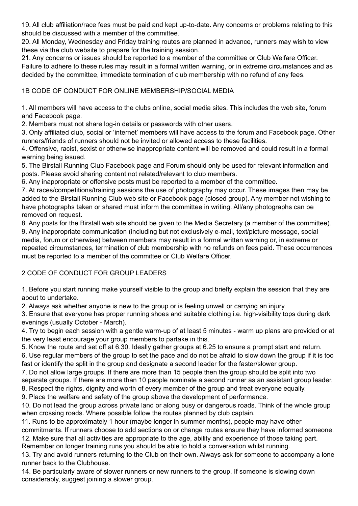19. All club affiliation/race fees must be paid and kept up-to-date. Any concerns or problems relating to this should be discussed with a member of the committee.

20. All Monday, Wednesday and Friday training routes are planned in advance, runners may wish to view these via the club website to prepare for the training session.

21. Any concerns or issues should be reported to a member of the committee or Club Welfare Officer. Failure to adhere to these rules may result in a formal written warning, or in extreme circumstances and as decided by the committee, immediate termination of club membership with no refund of any fees.

## 1B CODE OF CONDUCT FOR ONLINE MEMBERSHIP/SOCIAL MEDIA

1. All members will have access to the clubs online, social media sites. This includes the web site, forum and Facebook page.

2. Members must not share log-in details or passwords with other users.

3. Only affiliated club, social or 'internet' members will have access to the forum and Facebook page. Other runners/friends of runners should not be invited or allowed access to these facilities.

4. Offensive, racist, sexist or otherwise inappropriate content will be removed and could result in a formal warning being issued.

5. The Birstall Running Club Facebook page and Forum should only be used for relevant information and posts. Please avoid sharing content not related/relevant to club members.

6. Any inappropriate or offensive posts must be reported to a member of the committee.

7. At races/competitions/training sessions the use of photography may occur. These images then may be added to the Birstall Running Club web site or Facebook page (closed group). Any member not wishing to have photographs taken or shared must inform the committee in writing. All/any photographs can be removed on request.

8. Any posts for the Birstall web site should be given to the Media Secretary (a member of the committee). 9. Any inappropriate communication (including but not exclusively e-mail, text/picture message, social media, forum or otherwise) between members may result in a formal written warning or, in extreme or repeated circumstances, termination of club membership with no refunds on fees paid. These occurrences must be reported to a member of the committee or Club Welfare Officer.

## 2 CODE OF CONDUCT FOR GROUP LEADERS

1. Before you start running make yourself visible to the group and briefly explain the session that they are about to undertake.

2. Always ask whether anyone is new to the group or is feeling unwell or carrying an injury.

3. Ensure that everyone has proper running shoes and suitable clothing i.e. high-visibility tops during dark evenings (usually October - March).

4. Try to begin each session with a gentle warm-up of at least 5 minutes - warm up plans are provided or at the very least encourage your group members to partake in this.

5. Know the route and set off at 6.30. Ideally gather groups at 6.25 to ensure a prompt start and return.

6. Use regular members of the group to set the pace and do not be afraid to slow down the group if it is too fast or identify the split in the group and designate a second leader for the faster/slower group.

7. Do not allow large groups. If there are more than 15 people then the group should be split into two separate groups. If there are more than 10 people nominate a second runner as an assistant group leader. 8. Respect the rights, dignity and worth of every member of the group and treat everyone equally.

9. Place the welfare and safety of the group above the development of performance.

10. Do not lead the group across private land or along busy or dangerous roads. Think of the whole group when crossing roads. Where possible follow the routes planned by club captain.

11. Runs to be approximately 1 hour (maybe longer in summer months), people may have other

commitments. If runners choose to add sections on or change routes ensure they have informed someone. 12. Make sure that all activities are appropriate to the age, ability and experience of those taking part.

Remember on longer training runs you should be able to hold a conversation whilst running.

13. Try and avoid runners returning to the Club on their own. Always ask for someone to accompany a lone runner back to the Clubhouse.

14. Be particularly aware of slower runners or new runners to the group. If someone is slowing down considerably, suggest joining a slower group.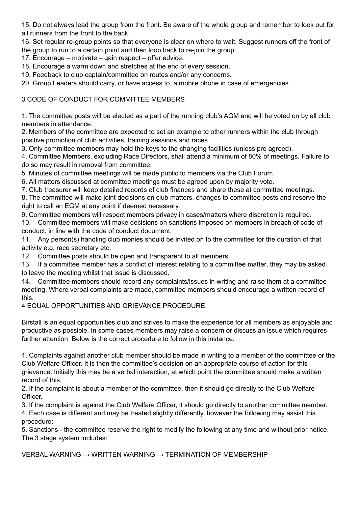15. Do not always lead the group from the front. Be aware of the whole group and remember to look out for all runners from the front to the back.

16. Set regular re-group points so that everyone is clear on where to wait. Suggest runners off the front of the group to run to a certain point and then loop back to re-join the group.

17. Encourage – motivate – gain respect – offer advice.

18. Encourage a warm down and stretches at the end of every session.

19. Feedback to club captain/committee on routes and/or any concerns.

20. Group Leaders should carry, or have access to, a mobile phone in case of emergencies.

## 3 CODE OF CONDUCT FOR COMMITTEE MEMBERS

1. The committee posts will be elected as a part of the running club's AGM and will be voted on by all club members in attendance.

2. Members of the committee are expected to set an example to other runners within the club through positive promotion of club activities, training sessions and races.

3. Only committee members may hold the keys to the changing facilities (unless pre agreed).

4. Committee Members, excluding Race Directors, shall attend a minimum of 80% of meetings. Failure to do so may result in removal from committee.

5. Minutes of committee meetings will be made public to members via the Club Forum.

6. All matters discussed at committee meetings must be agreed upon by majority vote.

7. Club treasurer will keep detailed records of club finances and share these at committee meetings.

8. The committee will make joint decisions on club matters, changes to committee posts and reserve the right to call an EGM at any point if deemed necessary.

9. Committee members will respect members privacy in cases/matters where discretion is required.

10. Committee members will make decisions on sanctions imposed on members in breach of code of conduct, in line with the code of conduct document.

11. Any person(s) handling club monies should be invited on to the committee for the duration of that activity e.g. race secretary etc.

12. Committee posts should be open and transparent to all members.

13. If a committee member has a conflict of interest relating to a committee matter, they may be asked to leave the meeting whilst that issue is discussed.

14. Committee members should record any complaints/issues in writing and raise them at a committee meeting. Where verbal complaints are made, committee members should encourage a written record of this.

## 4 EQUAL OPPORTUNITIES AND GRIEVANCE PROCEDURE

Birstall is an equal opportunities club and strives to make the experience for all members as enjoyable and productive as possible. In some cases members may raise a concern or discuss an issue which requires further attention. Below is the correct procedure to follow in this instance.

1. Complaints against another club member should be made in writing to a member of the committee or the Club Welfare Officer. It is then the committee's decision on an appropriate course of action for this grievance. Initially this may be a verbal interaction, at which point the committee should make a written record of this.

2. If the complaint is about a member of the committee, then it should go directly to the Club Welfare Officer.

3. If the complaint is against the Club Welfare Officer, it should go directly to another committee member. 4. Each case is different and may be treated slightly differently, however the following may assist this procedure:

5. Sanctions - the committee reserve the right to modify the following at any time and without prior notice. The 3 stage system includes:

VERBAL WARNING → WRITTEN WARNING → TERMINATION OF MEMBERSHIP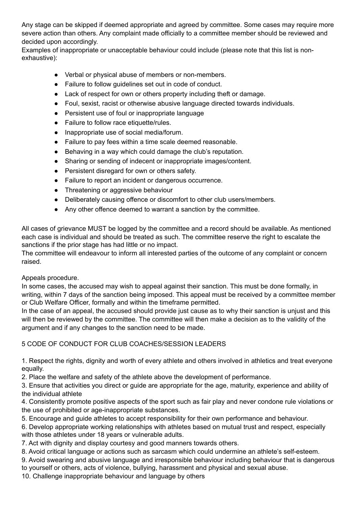Any stage can be skipped if deemed appropriate and agreed by committee. Some cases may require more severe action than others. Any complaint made officially to a committee member should be reviewed and decided upon accordingly.

Examples of inappropriate or unacceptable behaviour could include (please note that this list is nonexhaustive):

- Verbal or physical abuse of members or non-members.
- Failure to follow guidelines set out in code of conduct.
- Lack of respect for own or others property including theft or damage.
- Foul, sexist, racist or otherwise abusive language directed towards individuals.
- Persistent use of foul or inappropriate language
- Failure to follow race etiquette/rules.
- Inappropriate use of social media/forum.
- Failure to pay fees within a time scale deemed reasonable.
- Behaving in a way which could damage the club's reputation.
- Sharing or sending of indecent or inappropriate images/content.
- Persistent disregard for own or others safety.
- Failure to report an incident or dangerous occurrence.
- Threatening or aggressive behaviour
- Deliberately causing offence or discomfort to other club users/members.
- Any other offence deemed to warrant a sanction by the committee.

All cases of grievance MUST be logged by the committee and a record should be available. As mentioned each case is individual and should be treated as such. The committee reserve the right to escalate the sanctions if the prior stage has had little or no impact.

The committee will endeavour to inform all interested parties of the outcome of any complaint or concern raised.

## Appeals procedure.

In some cases, the accused may wish to appeal against their sanction. This must be done formally, in writing, within 7 days of the sanction being imposed. This appeal must be received by a committee member or Club Welfare Officer, formally and within the timeframe permitted.

In the case of an appeal, the accused should provide just cause as to why their sanction is unjust and this will then be reviewed by the committee. The committee will then make a decision as to the validity of the argument and if any changes to the sanction need to be made.

## 5 CODE OF CONDUCT FOR CLUB COACHES/SESSION LEADERS

1. Respect the rights, dignity and worth of every athlete and others involved in athletics and treat everyone equally.

2. Place the welfare and safety of the athlete above the development of performance.

3. Ensure that activities you direct or guide are appropriate for the age, maturity, experience and ability of the individual athlete

4. Consistently promote positive aspects of the sport such as fair play and never condone rule violations or the use of prohibited or age-inappropriate substances.

5. Encourage and guide athletes to accept responsibility for their own performance and behaviour.

6. Develop appropriate working relationships with athletes based on mutual trust and respect, especially with those athletes under 18 years or vulnerable adults.

7. Act with dignity and display courtesy and good manners towards others.

8. Avoid critical language or actions such as sarcasm which could undermine an athlete's self-esteem.

9. Avoid swearing and abusive language and irresponsible behaviour including behaviour that is dangerous to yourself or others, acts of violence, bullying, harassment and physical and sexual abuse.

10. Challenge inappropriate behaviour and language by others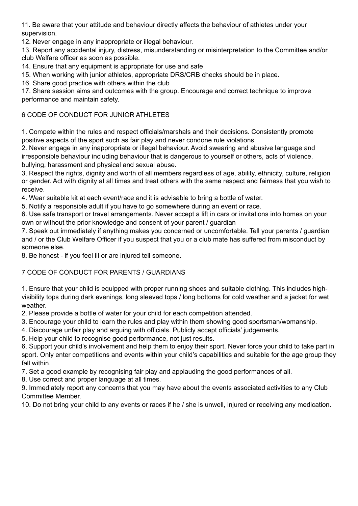11. Be aware that your attitude and behaviour directly affects the behaviour of athletes under your supervision.

12. Never engage in any inappropriate or illegal behaviour.

13. Report any accidental injury, distress, misunderstanding or misinterpretation to the Committee and/or club Welfare officer as soon as possible.

14. Ensure that any equipment is appropriate for use and safe

15. When working with junior athletes, appropriate DRS/CRB checks should be in place.

16. Share good practice with others within the club

17. Share session aims and outcomes with the group. Encourage and correct technique to improve performance and maintain safety.

## 6 CODE OF CONDUCT FOR JUNIOR ATHLETES

1. Compete within the rules and respect officials/marshals and their decisions. Consistently promote positive aspects of the sport such as fair play and never condone rule violations.

2. Never engage in any inappropriate or illegal behaviour. Avoid swearing and abusive language and irresponsible behaviour including behaviour that is dangerous to yourself or others, acts of violence, bullying, harassment and physical and sexual abuse.

3. Respect the rights, dignity and worth of all members regardless of age, ability, ethnicity, culture, religion or gender. Act with dignity at all times and treat others with the same respect and fairness that you wish to receive.

4. Wear suitable kit at each event/race and it is advisable to bring a bottle of water.

5. Notify a responsible adult if you have to go somewhere during an event or race.

6. Use safe transport or travel arrangements. Never accept a lift in cars or invitations into homes on your own or without the prior knowledge and consent of your parent / guardian

7. Speak out immediately if anything makes you concerned or uncomfortable. Tell your parents / guardian and / or the Club Welfare Officer if you suspect that you or a club mate has suffered from misconduct by someone else.

8. Be honest - if you feel ill or are injured tell someone.

## 7 CODE OF CONDUCT FOR PARENTS / GUARDIANS

1. Ensure that your child is equipped with proper running shoes and suitable clothing. This includes highvisibility tops during dark evenings, long sleeved tops / long bottoms for cold weather and a jacket for wet weather.

2. Please provide a bottle of water for your child for each competition attended.

3. Encourage your child to learn the rules and play within them showing good sportsman/womanship.

4. Discourage unfair play and arguing with officials. Publicly accept officials' judgements.

5. Help your child to recognise good performance, not just results.

6. Support your child's involvement and help them to enjoy their sport. Never force your child to take part in sport. Only enter competitions and events within your child's capabilities and suitable for the age group they fall within.

7. Set a good example by recognising fair play and applauding the good performances of all.

8. Use correct and proper language at all times.

9. Immediately report any concerns that you may have about the events associated activities to any Club Committee Member.

10. Do not bring your child to any events or races if he / she is unwell, injured or receiving any medication.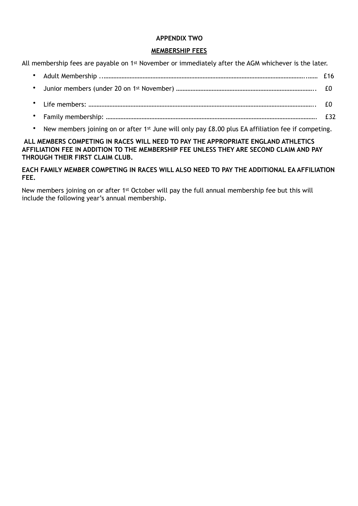## **APPENDIX TWO**

## **MEMBERSHIP FEES**

All membership fees are payable on 1<sup>st</sup> November or immediately after the AGM whichever is the later.

- Adult Membership ..……………………………………………………………………………………………………………..…… £16
- Junior members (under 20 on 1st November) ………………………………………………………………………….. £0
- Life members: ………………………………………………………………………………………………………………………….. £0
- Family membership: …………………………………………………………………………………………………………………. £32
- New members joining on or after 1<sup>st</sup> June will only pay £8.00 plus EA affiliation fee if competing.

**ALL MEMBERS COMPETING IN RACES WILL NEED TO PAY THE APPROPRIATE ENGLAND ATHLETICS AFFILIATION FEE IN ADDITION TO THE MEMBERSHIP FEE UNLESS THEY ARE SECOND CLAIM AND PAY THROUGH THEIR FIRST CLAIM CLUB.** 

## **EACH FAMILY MEMBER COMPETING IN RACES WILL ALSO NEED TO PAY THE ADDITIONAL EA AFFILIATION FEE.**

New members joining on or after 1st October will pay the full annual membership fee but this will include the following year's annual membership.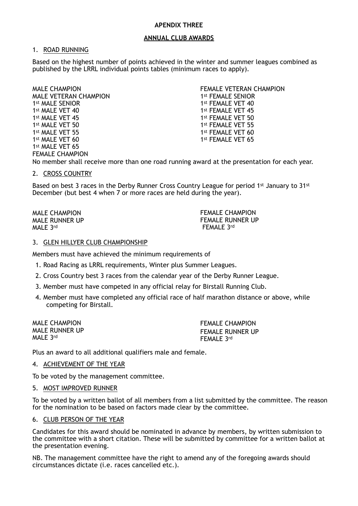#### **APENDIX THREE**

#### **ANNUAL CLUB AWARDS**

#### 1. ROAD RUNNING

Based on the highest number of points achieved in the winter and summer leagues combined as published by the LRRL individual points tables (minimum races to apply).

MALE CHAMPION MALE VETERAN CHAMPION 1st MALE SENIOR 1st MALE VET 40 1st MALE VET 45 1st MALE VET 50 1st MALE VET 55 1<sup>st</sup> MALE VET 60 1<sup>st</sup> MALE VET 65 FEMALE CHAMPION

FEMALE VETERAN CHAMPION 1st FEMALE SENIOR 1st FEMALE VET 40 1st FEMALE VET 45 1st FEMALE VET 50 1st FEMALE VET 55 1st FEMALE VET 60 1st FEMALE VET 65

No member shall receive more than one road running award at the presentation for each year.

#### 2. CROSS COUNTRY

Based on best 3 races in the Derby Runner Cross Country League for period 1st January to 31st December (but best 4 when 7 or more races are held during the year).

MALE CHAMPION MALE RUNNER UP MALE 3rd

FEMALE CHAMPION FEMALE RUNNER UP FEMALE 3rd

#### 3. GLEN HILLYER CLUB CHAMPIONSHIP

Members must have achieved the minimum requirements of

- 1. Road Racing as LRRL requirements, Winter plus Summer Leagues.
- 2. Cross Country best 3 races from the calendar year of the Derby Runner League.
- 3. Member must have competed in any official relay for Birstall Running Club.
- 4. Member must have completed any official race of half marathon distance or above, while competing for Birstall.

MALE CHAMPION MALE RUNNER UP MALE 3rd

FEMALE CHAMPION FEMALE RUNNER UP FEMALE 3rd

Plus an award to all additional qualifiers male and female.

#### 4. ACHIEVEMENT OF THE YEAR

To be voted by the management committee.

#### 5. MOST IMPROVED RUNNER

To be voted by a written ballot of all members from a list submitted by the committee. The reason for the nomination to be based on factors made clear by the committee.

#### 6. CLUB PERSON OF THE YEAR

Candidates for this award should be nominated in advance by members, by written submission to the committee with a short citation. These will be submitted by committee for a written ballot at the presentation evening.

NB. The management committee have the right to amend any of the foregoing awards should circumstances dictate (i.e. races cancelled etc.).